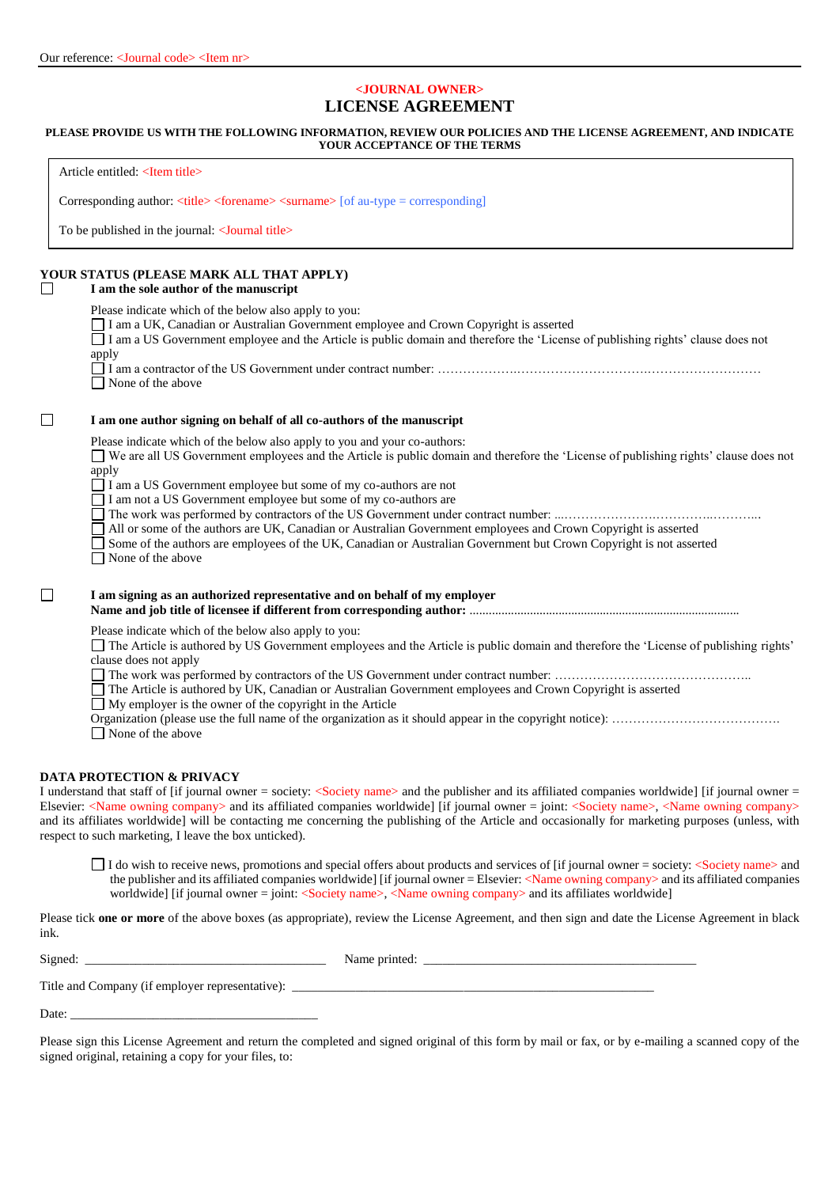# **<JOURNAL OWNER> LICENSE AGREEMENT**

## **PLEASE PROVIDE US WITH THE FOLLOWING INFORMATION, REVIEW OUR POLICIES AND THE LICENSE AGREEMENT, AND INDICATE YOUR ACCEPTANCE OF THE TERMS**

|        | Article entitled: <item title=""></item>                                                                                                                                                                                                                                                                                                                                                                                                                                                                                                                                                                                          |
|--------|-----------------------------------------------------------------------------------------------------------------------------------------------------------------------------------------------------------------------------------------------------------------------------------------------------------------------------------------------------------------------------------------------------------------------------------------------------------------------------------------------------------------------------------------------------------------------------------------------------------------------------------|
|        | Corresponding author: $\langle$ title> $\langle$ forename> $\langle$ surname> $\langle$ of au-type = corresponding                                                                                                                                                                                                                                                                                                                                                                                                                                                                                                                |
|        | To be published in the journal: < <b>Journal</b> title>                                                                                                                                                                                                                                                                                                                                                                                                                                                                                                                                                                           |
| $\Box$ | YOUR STATUS (PLEASE MARK ALL THAT APPLY)<br>I am the sole author of the manuscript                                                                                                                                                                                                                                                                                                                                                                                                                                                                                                                                                |
|        | Please indicate which of the below also apply to you:<br>I am a UK, Canadian or Australian Government employee and Crown Copyright is asserted<br>I am a US Government employee and the Article is public domain and therefore the 'License of publishing rights' clause does not<br>apply<br>$\Box$ None of the above                                                                                                                                                                                                                                                                                                            |
| $\Box$ | I am one author signing on behalf of all co-authors of the manuscript                                                                                                                                                                                                                                                                                                                                                                                                                                                                                                                                                             |
|        | Please indicate which of the below also apply to you and your co-authors:<br>■ We are all US Government employees and the Article is public domain and therefore the 'License of publishing rights' clause does not<br>apply<br>□ I am a US Government employee but some of my co-authors are not<br>I am not a US Government employee but some of my co-authors are<br>All or some of the authors are UK, Canadian or Australian Government employees and Crown Copyright is asserted<br>Some of the authors are employees of the UK, Canadian or Australian Government but Crown Copyright is not asserted<br>None of the above |
| $\Box$ | I am signing as an authorized representative and on behalf of my employer                                                                                                                                                                                                                                                                                                                                                                                                                                                                                                                                                         |
|        | Please indicate which of the below also apply to you:<br>The Article is authored by US Government employees and the Article is public domain and therefore the 'License of publishing rights'<br>clause does not apply<br>The Article is authored by UK, Canadian or Australian Government employees and Crown Copyright is asserted<br>$\Box$ My employer is the owner of the copyright in the Article<br>$\Box$ None of the above                                                                                                                                                                                               |
|        | <b>DATA PROTECTION &amp; PRIVACY</b><br>I understand that staff of [if journal owner = society: <society name=""> and the publisher and its affiliated companies worldwide] [if journal owner =<br/>Elsevier: <name company="" owning=""> and its affiliated companies worldwide] [if journal owner = joint: <society name="">, <name company="" owning=""><br/>and its affiliates worldwide] will be contacting me concerning the publishing of the Article and occasionally for marketing purposes (unless, with<br/>respect to such marketing, I leave the box unticked).</name></society></name></society>                    |
|        | I do wish to receive news, promotions and special offers about products and services of [if journal owner = society: <society name=""> and<br/>the publisher and its affiliated companies worldwide] [if journal owner = Elsevier: <name company="" owning=""> and its affiliated companies</name></society>                                                                                                                                                                                                                                                                                                                      |

worldwide] [if journal owner = joint: <Society name>, <Name owning company> and its affiliates worldwide]

Please tick **one or more** of the above boxes (as appropriate), review the License Agreement, and then sign and date the License Agreement in black ink.

Signed: \_\_\_\_\_\_\_\_\_\_\_\_\_\_\_\_\_\_\_\_\_\_\_\_\_\_\_\_\_\_\_\_\_\_\_\_\_\_ Name printed: \_\_\_\_\_\_\_\_\_\_\_\_\_\_\_\_\_\_\_\_\_\_\_\_\_\_\_\_\_\_\_\_\_\_\_\_\_\_\_\_\_\_\_

Title and Company (if employer representative): \_\_\_\_\_\_\_\_\_\_\_\_\_\_\_\_\_\_\_\_\_\_\_\_\_\_\_\_\_\_\_\_\_\_\_\_\_\_\_\_\_\_\_\_\_\_\_\_\_\_\_\_\_\_\_\_\_

Date:

Please sign this License Agreement and return the completed and signed original of this form by mail or fax, or by e-mailing a scanned copy of the signed original, retaining a copy for your files, to: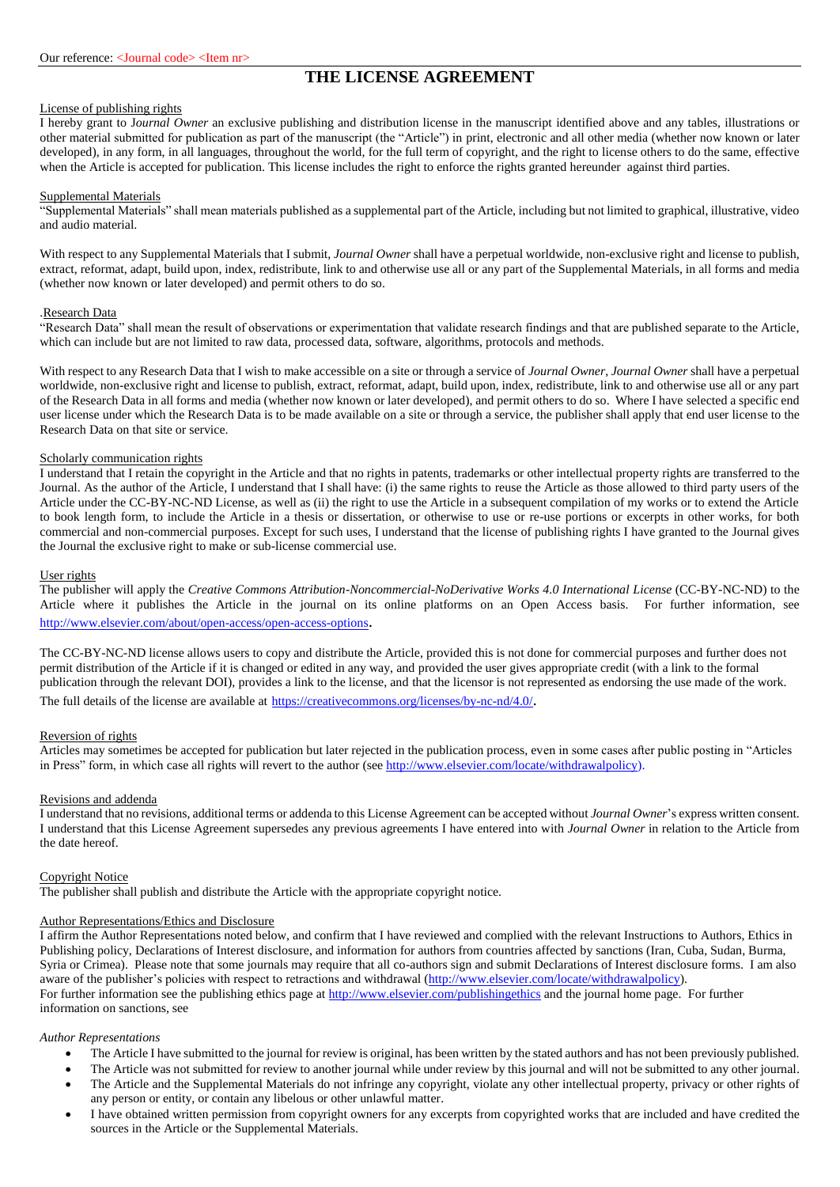# **THE LICENSE AGREEMENT**

## License of publishing rights

I hereby grant to J*ournal Owner* an exclusive publishing and distribution license in the manuscript identified above and any tables, illustrations or other material submitted for publication as part of the manuscript (the "Article") in print, electronic and all other media (whether now known or later developed), in any form, in all languages, throughout the world, for the full term of copyright, and the right to license others to do the same, effective when the Article is accepted for publication. This license includes the right to enforce the rights granted hereunder against third parties.

#### Supplemental Materials

"Supplemental Materials" shall mean materials published as a supplemental part of the Article, including but not limited to graphical, illustrative, video and audio material.

With respect to any Supplemental Materials that I submit, *Journal Owner* shall have a perpetual worldwide, non-exclusive right and license to publish, extract, reformat, adapt, build upon, index, redistribute, link to and otherwise use all or any part of the Supplemental Materials, in all forms and media (whether now known or later developed) and permit others to do so.

#### .Research Data

"Research Data" shall mean the result of observations or experimentation that validate research findings and that are published separate to the Article, which can include but are not limited to raw data, processed data, software, algorithms, protocols and methods.

With respect to any Research Data that I wish to make accessible on a site or through a service of *Journal Owner*, *Journal Owner* shall have a perpetual worldwide, non-exclusive right and license to publish, extract, reformat, adapt, build upon, index, redistribute, link to and otherwise use all or any part of the Research Data in all forms and media (whether now known or later developed), and permit others to do so. Where I have selected a specific end user license under which the Research Data is to be made available on a site or through a service, the publisher shall apply that end user license to the Research Data on that site or service.

#### Scholarly communication rights

I understand that I retain the copyright in the Article and that no rights in patents, trademarks or other intellectual property rights are transferred to the Journal. As the author of the Article, I understand that I shall have: (i) the same rights to reuse the Article as those allowed to third party users of the Article under the CC-BY-NC-ND License, as well as (ii) the right to use the Article in a subsequent compilation of my works or to extend the Article to book length form, to include the Article in a thesis or dissertation, or otherwise to use or re-use portions or excerpts in other works, for both commercial and non-commercial purposes. Except for such uses, I understand that the license of publishing rights I have granted to the Journal gives the Journal the exclusive right to make or sub-license commercial use.

#### User rights

The publisher will apply the *Creative Commons Attribution-Noncommercial-NoDerivative Works 4.0 International License* (CC-BY-NC-ND) to the Article where it publishes the Article in the journal on its online platforms on an Open Access basis. For further information, see <http://www.elsevier.com/about/open-access/open-access-options>.

The CC-BY-NC-ND license allows users to copy and distribute the Article, provided this is not done for commercial purposes and further does not permit distribution of the Article if it is changed or edited in any way, and provided the user gives appropriate credit (with a link to the formal publication through the relevant DOI), provides a link to the license, and that the licensor is not represented as endorsing the use made of the work. The full details of the license are available at <https://creativecommons.org/licenses/by-nc-nd/4.0/>.

#### Reversion of rights

Articles may sometimes be accepted for publication but later rejected in the publication process, even in some cases after public posting in "Articles in Press" form, in which case all rights will revert to the author (see [http://www.elsevier.com/locate/withdrawalpolicy\)](http://www.elsevier.com/locate/withdrawalpolicy).

#### Revisions and addenda

I understand that no revisions, additional terms or addenda to this License Agreement can be accepted without *Journal Owner*'s express written consent. I understand that this License Agreement supersedes any previous agreements I have entered into with *Journal Owner* in relation to the Article from the date hereof.

# Copyright Notice

The publisher shall publish and distribute the Article with the appropriate copyright notice.

#### Author Representations/Ethics and Disclosure

I affirm the Author Representations noted below, and confirm that I have reviewed and complied with the relevant Instructions to Authors, Ethics in Publishing policy, Declarations of Interest disclosure, and information for authors from countries affected by sanctions (Iran, Cuba, Sudan, Burma, Syria or Crimea). Please note that some journals may require that all co-authors sign and submit Declarations of Interest disclosure forms. I am also aware of the publisher's policies with respect to retractions and withdrawal [\(http://www.elsevier.com/locate/withdrawalpolicy\)](http://www.elsevier.com/locate/withdrawalpolicy). For further information see the publishing ethics page at<http://www.elsevier.com/publishingethics> and the journal home page. For further information on sanctions, see

#### *Author Representations*

- The Article I have submitted to the journal for review is original, has been written by the stated authors and has not been previously published.
- The Article was not submitted for review to another journal while under review by this journal and will not be submitted to any other journal.
- The Article and the Supplemental Materials do not infringe any copyright, violate any other intellectual property, privacy or other rights of any person or entity, or contain any libelous or other unlawful matter.
- I have obtained written permission from copyright owners for any excerpts from copyrighted works that are included and have credited the sources in the Article or the Supplemental Materials.